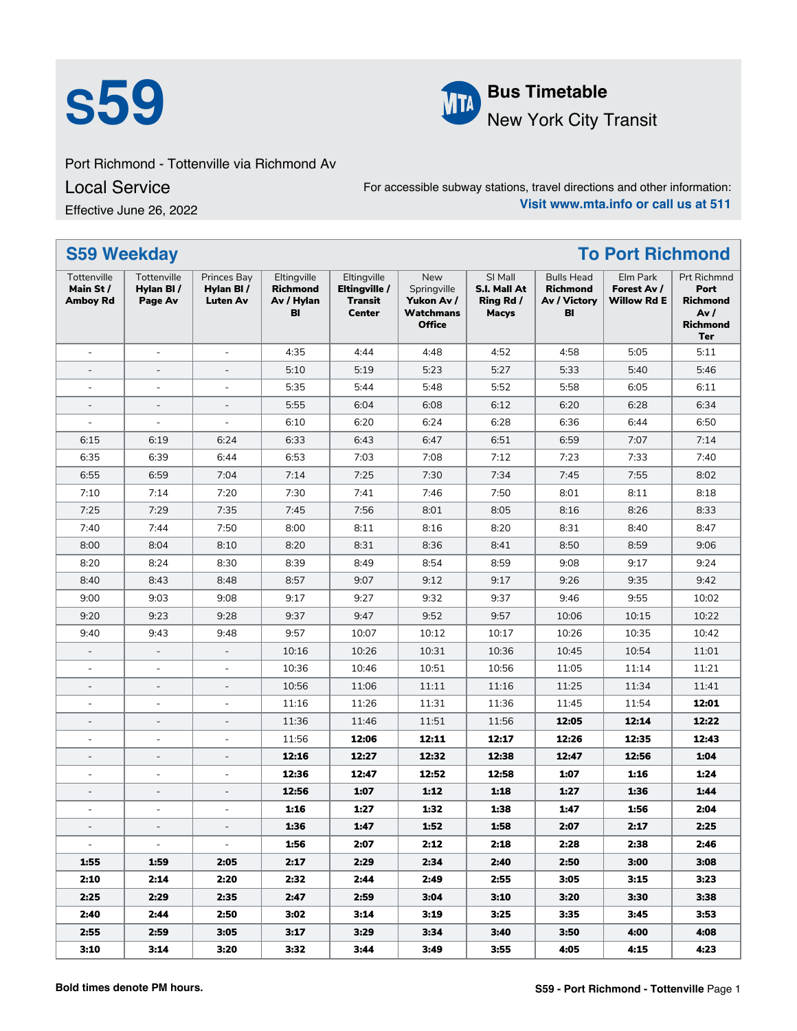



**S59 Bus Timetable**<br>New York City 1 New York City Transit

## Port Richmond - Tottenville via Richmond Av

Local Service

Effective June 26, 2022

For accessible subway stations, travel directions and other information: **Visit www.mta.info or call us at 511**

| <b>S59 Weekday</b>                         |                                     |                                             |                                                    |                                                          |                                                                       |                                                      |                                                     | <b>To Port Richmond</b>                |                                                                                 |
|--------------------------------------------|-------------------------------------|---------------------------------------------|----------------------------------------------------|----------------------------------------------------------|-----------------------------------------------------------------------|------------------------------------------------------|-----------------------------------------------------|----------------------------------------|---------------------------------------------------------------------------------|
| Tottenville<br>Main St/<br><b>Amboy Rd</b> | Tottenville<br>Hylan BI/<br>Page Av | Princes Bay<br>Hylan BI/<br><b>Luten Av</b> | Eltingville<br><b>Richmond</b><br>Av / Hylan<br>BI | Eltingville<br>Eltingville /<br>Transit<br><b>Center</b> | New<br>Springville<br>Yukon Av /<br><b>Watchmans</b><br><b>Office</b> | SI Mall<br>S.I. Mall At<br>Ring Rd /<br><b>Macys</b> | <b>Bulls Head</b><br>Richmond<br>Av / Victory<br>BI | Elm Park<br>Forest Av /<br>Willow Rd E | Prt Richmnd<br>Port<br><b>Richmond</b><br>Av /<br><b>Richmond</b><br><b>Ter</b> |
| ÷,                                         | $\overline{\phantom{a}}$            | $\bar{\phantom{a}}$                         | 4:35                                               | 4:44                                                     | 4:48                                                                  | 4:52                                                 | 4:58                                                | 5:05                                   | 5:11                                                                            |
| $\overline{a}$                             | $\overline{\phantom{a}}$            | $\overline{\phantom{a}}$                    | 5:10                                               | 5:19                                                     | 5:23                                                                  | 5:27                                                 | 5:33                                                | 5:40                                   | 5:46                                                                            |
| $\overline{\phantom{a}}$                   | $\blacksquare$                      | $\blacksquare$                              | 5:35                                               | 5:44                                                     | 5:48                                                                  | 5:52                                                 | 5:58                                                | 6:05                                   | 6:11                                                                            |
| $\overline{\phantom{a}}$                   | $\overline{\phantom{a}}$            | $\overline{\phantom{a}}$                    | 5:55                                               | 6:04                                                     | 6:08                                                                  | 6:12                                                 | 6:20                                                | 6:28                                   | 6:34                                                                            |
|                                            | $\overline{\phantom{a}}$            | $\blacksquare$                              | 6:10                                               | 6:20                                                     | 6:24                                                                  | 6:28                                                 | 6:36                                                | 6:44                                   | 6:50                                                                            |
| 6:15                                       | 6:19                                | 6:24                                        | 6:33                                               | 6:43                                                     | 6:47                                                                  | 6:51                                                 | 6:59                                                | 7:07                                   | 7:14                                                                            |
| 6:35                                       | 6:39                                | 6:44                                        | 6:53                                               | 7:03                                                     | 7:08                                                                  | 7:12                                                 | 7:23                                                | 7:33                                   | 7:40                                                                            |
| 6:55                                       | 6:59                                | 7:04                                        | 7:14                                               | 7:25                                                     | 7:30                                                                  | 7:34                                                 | 7:45                                                | 7:55                                   | 8:02                                                                            |
| 7:10                                       | 7:14                                | 7:20                                        | 7:30                                               | 7:41                                                     | 7:46                                                                  | 7:50                                                 | 8:01                                                | 8:11                                   | 8:18                                                                            |
| 7:25                                       | 7:29                                | 7:35                                        | 7:45                                               | 7:56                                                     | 8:01                                                                  | 8:05                                                 | 8:16                                                | 8:26                                   | 8:33                                                                            |
| 7:40                                       | 7:44                                | 7:50                                        | 8:00                                               | 8:11                                                     | 8:16                                                                  | 8:20                                                 | 8:31                                                | 8:40                                   | 8:47                                                                            |
| 8:00                                       | 8:04                                | 8:10                                        | 8:20                                               | 8:31                                                     | 8:36                                                                  | 8:41                                                 | 8:50                                                | 8:59                                   | 9:06                                                                            |
| 8:20                                       | 8:24                                | 8:30                                        | 8:39                                               | 8:49                                                     | 8:54                                                                  | 8:59                                                 | 9:08                                                | 9:17                                   | 9:24                                                                            |
| 8:40                                       | 8:43                                | 8:48                                        | 8:57                                               | 9:07                                                     | 9:12                                                                  | 9:17                                                 | 9:26                                                | 9:35                                   | 9:42                                                                            |
| 9:00                                       | 9:03                                | 9:08                                        | 9:17                                               | 9:27                                                     | 9:32                                                                  | 9:37                                                 | 9:46                                                | 9:55                                   | 10:02                                                                           |
| 9:20                                       | 9:23                                | 9:28                                        | 9:37                                               | 9:47                                                     | 9:52                                                                  | 9:57                                                 | 10:06                                               | 10:15                                  | 10:22                                                                           |
| 9:40                                       | 9:43                                | 9:48                                        | 9:57                                               | 10:07                                                    | 10:12                                                                 | 10:17                                                | 10:26                                               | 10:35                                  | 10:42                                                                           |
| $\overline{\phantom{a}}$                   | $\overline{\phantom{a}}$            | $\overline{\phantom{a}}$                    | 10:16                                              | 10:26                                                    | 10:31                                                                 | 10:36                                                | 10:45                                               | 10:54                                  | 11:01                                                                           |
| $\overline{\phantom{a}}$                   | $\blacksquare$                      | $\blacksquare$                              | 10:36                                              | 10:46                                                    | 10:51                                                                 | 10:56                                                | 11:05                                               | 11:14                                  | 11:21                                                                           |
| $\overline{\phantom{a}}$                   | $\overline{\phantom{a}}$            | $\overline{\phantom{a}}$                    | 10:56                                              | 11:06                                                    | 11:11                                                                 | 11:16                                                | 11:25                                               | 11:34                                  | 11:41                                                                           |
|                                            | $\overline{a}$                      | $\overline{\phantom{a}}$                    | 11:16                                              | 11:26                                                    | 11:31                                                                 | 11:36                                                | 11:45                                               | 11:54                                  | 12:01                                                                           |
| $\overline{\phantom{a}}$                   | $\overline{\phantom{a}}$            | $\bar{\phantom{a}}$                         | 11:36                                              | 11:46                                                    | 11:51                                                                 | 11:56                                                | 12:05                                               | 12:14                                  | 12:22                                                                           |
| $\overline{\phantom{a}}$                   | $\blacksquare$                      | $\blacksquare$                              | 11:56                                              | 12:06                                                    | 12:11                                                                 | 12:17                                                | 12:26                                               | 12:35                                  | 12:43                                                                           |
| $\overline{\phantom{a}}$                   | $\overline{\phantom{a}}$            | $\overline{\phantom{a}}$                    | 12:16                                              | 12:27                                                    | 12:32                                                                 | 12:38                                                | 12:47                                               | 12:56                                  | 1:04                                                                            |
| ÷,                                         | $\overline{\phantom{a}}$            | $\overline{\phantom{a}}$                    | 12:36                                              | 12:47                                                    | 12:52                                                                 | 12:58                                                | 1:07                                                | 1:16                                   | 1:24                                                                            |
|                                            | $\overline{a}$                      | $\bar{\phantom{a}}$                         | 12:56                                              | 1:07                                                     | 1:12                                                                  | 1:18                                                 | 1:27                                                | 1:36                                   | 1:44                                                                            |
| $\overline{\phantom{a}}$                   | $\blacksquare$                      | $\blacksquare$                              | 1:16                                               | 1:27                                                     | 1:32                                                                  | 1:38                                                 | 1:47                                                | 1:56                                   | 2:04                                                                            |
|                                            |                                     |                                             | 1:36                                               | 1:47                                                     | 1:52                                                                  | 1:58                                                 | 2:07                                                | 2:17                                   | 2:25                                                                            |
| $\sim$                                     | $\equiv$                            | $\sim$                                      | 1:56                                               | 2:07                                                     | 2:12                                                                  | 2:18                                                 | 2:28                                                | 2:38                                   | 2:46                                                                            |
| 1:55                                       | 1:59                                | 2:05                                        | 2:17                                               | 2:29                                                     | 2:34                                                                  | 2:40                                                 | 2:50                                                | 3:00                                   | 3:08                                                                            |
| 2:10                                       | 2:14                                | 2:20                                        | 2:32                                               | 2:44                                                     | 2:49                                                                  | 2:55                                                 | 3:05                                                | 3:15                                   | 3:23                                                                            |
| 2:25                                       | 2:29                                | 2:35                                        | 2:47                                               | 2:59                                                     | 3:04                                                                  | 3:10                                                 | 3:20                                                | 3:30                                   | 3:38                                                                            |
| 2:40                                       | 2:44                                | 2:50                                        | 3:02                                               | 3:14                                                     | 3:19                                                                  | 3:25                                                 | 3:35                                                | 3:45                                   | 3:53                                                                            |
| 2:55                                       | 2:59                                | 3:05                                        | 3:17                                               | 3:29                                                     | 3:34                                                                  | 3:40                                                 | 3:50                                                | 4:00                                   | 4:08                                                                            |
| 3:10                                       | 3:14                                | 3:20                                        | 3:32                                               | 3:44                                                     | 3:49                                                                  | 3:55                                                 | 4:05                                                | 4:15                                   | 4:23                                                                            |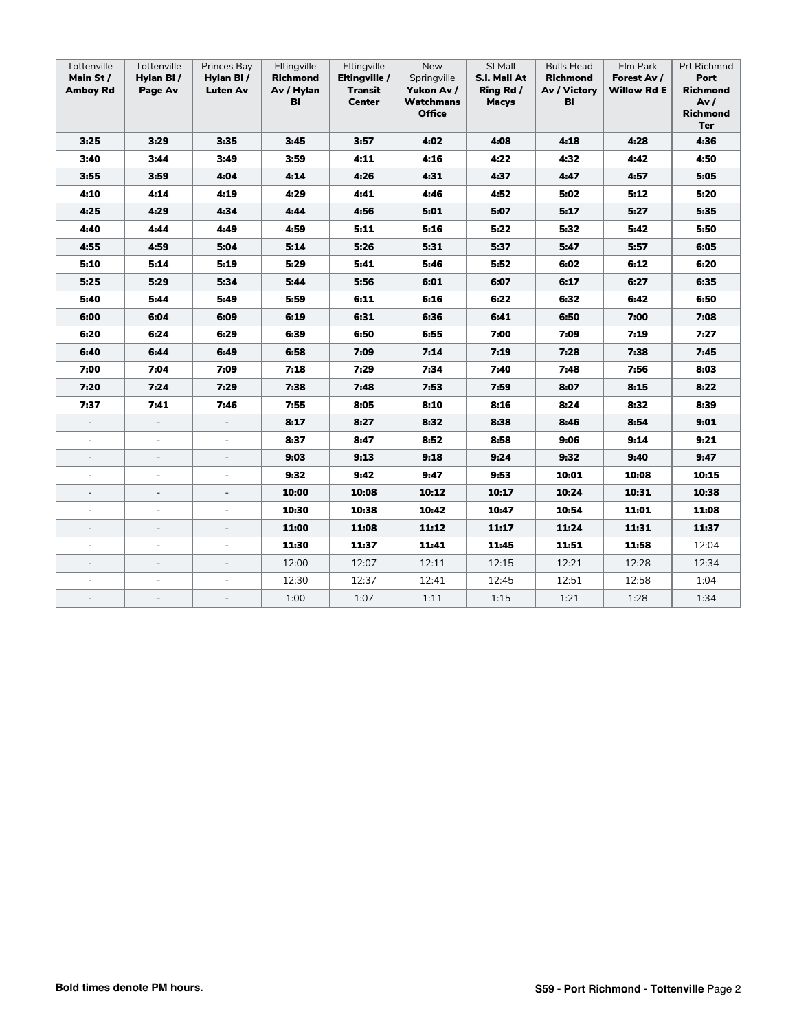| Tottenville<br>Main St/<br><b>Amboy Rd</b> | Tottenville<br>Hylan BI/<br>Page Av | Princes Bay<br>Hylan BI/<br><b>Luten Av</b> | Eltingville<br>Richmond<br>Av / Hylan<br>BI | Eltingville<br>Eltingville /<br>Transit<br>Center | New<br>Springville<br>Yukon Av /<br>Watchmans<br><b>Office</b> | SI Mall<br>S.I. Mall At<br>Ring Rd /<br><b>Macys</b> | <b>Bulls Head</b><br><b>Richmond</b><br>Av / Victory<br>BI | Elm Park<br>Forest Av /<br>Willow Rd E | Prt Richmnd<br>Port<br>Richmond<br>Av/<br><b>Richmond</b><br>Ter |
|--------------------------------------------|-------------------------------------|---------------------------------------------|---------------------------------------------|---------------------------------------------------|----------------------------------------------------------------|------------------------------------------------------|------------------------------------------------------------|----------------------------------------|------------------------------------------------------------------|
| 3:25                                       | 3:29                                | 3:35                                        | 3:45                                        | 3:57                                              | 4:02                                                           | 4:08                                                 | 4:18                                                       | 4:28                                   | 4:36                                                             |
| 3:40                                       | 3:44                                | 3:49                                        | 3:59                                        | 4:11                                              | 4:16                                                           | 4:22                                                 | 4:32                                                       | 4:42                                   | 4:50                                                             |
| 3:55                                       | 3:59                                | 4:04                                        | 4:14                                        | 4:26                                              | 4:31                                                           | 4:37                                                 | 4:47                                                       | 4:57                                   | 5:05                                                             |
| 4:10                                       | 4:14                                | 4:19                                        | 4:29                                        | 4:41                                              | 4:46                                                           | 4:52                                                 | 5:02                                                       | 5:12                                   | 5:20                                                             |
| 4:25                                       | 4:29                                | 4:34                                        | 4:44                                        | 4:56                                              | 5:01                                                           | 5:07                                                 | 5:17                                                       | 5:27                                   | 5:35                                                             |
| 4:40                                       | 4:44                                | 4:49                                        | 4:59                                        | 5:11                                              | 5:16                                                           | 5:22                                                 | 5:32                                                       | 5:42                                   | 5:50                                                             |
| 4:55                                       | 4:59                                | 5:04                                        | 5:14                                        | 5:26                                              | 5:31                                                           | 5:37                                                 | 5:47                                                       | 5:57                                   | 6:05                                                             |
| 5:10                                       | 5:14                                | 5:19                                        | 5:29                                        | 5:41                                              | 5:46                                                           | 5:52                                                 | 6:02                                                       | 6:12                                   | 6:20                                                             |
| 5:25                                       | 5:29                                | 5:34                                        | 5:44                                        | 5:56                                              | 6:01                                                           | 6:07                                                 | 6:17                                                       | 6:27                                   | 6:35                                                             |
| 5:40                                       | 5:44                                | 5:49                                        | 5:59                                        | 6:11                                              | 6:16                                                           | 6:22                                                 | 6:32                                                       | 6:42                                   | 6:50                                                             |
| 6:00                                       | 6:04                                | 6:09                                        | 6:19                                        | 6:31                                              | 6:36                                                           | 6:41                                                 | 6:50                                                       | 7:00                                   | 7:08                                                             |
| 6:20                                       | 6:24                                | 6:29                                        | 6:39                                        | 6:50                                              | 6:55                                                           | 7:00                                                 | 7:09                                                       | 7:19                                   | 7:27                                                             |
| 6:40                                       | 6:44                                | 6:49                                        | 6:58                                        | 7:09                                              | 7:14                                                           | 7:19                                                 | 7:28                                                       | 7:38                                   | 7:45                                                             |
| 7:00                                       | 7:04                                | 7:09                                        | 7:18                                        | 7:29                                              | 7:34                                                           | 7:40                                                 | 7:48                                                       | 7:56                                   | 8:03                                                             |
| 7:20                                       | 7:24                                | 7:29                                        | 7:38                                        | 7:48                                              | 7:53                                                           | 7:59                                                 | 8:07                                                       | 8:15                                   | 8:22                                                             |
| 7:37                                       | 7:41                                | 7:46                                        | 7:55                                        | 8:05                                              | 8:10                                                           | 8:16                                                 | 8:24                                                       | 8:32                                   | 8:39                                                             |
| $\blacksquare$                             | $\overline{\phantom{a}}$            | $\overline{\phantom{a}}$                    | 8:17                                        | 8:27                                              | 8:32                                                           | 8:38                                                 | 8:46                                                       | 8:54                                   | 9:01                                                             |
| $\overline{\phantom{a}}$                   | $\overline{\phantom{a}}$            | $\blacksquare$                              | 8:37                                        | 8:47                                              | 8:52                                                           | 8:58                                                 | 9:06                                                       | 9:14                                   | 9:21                                                             |
| $\overline{\phantom{a}}$                   | $\overline{\phantom{0}}$            | $\overline{\phantom{a}}$                    | 9:03                                        | 9:13                                              | 9:18                                                           | 9:24                                                 | 9:32                                                       | 9:40                                   | 9:47                                                             |
|                                            | $\overline{\phantom{a}}$            | $\equiv$                                    | 9:32                                        | 9:42                                              | 9:47                                                           | 9:53                                                 | 10:01                                                      | 10:08                                  | 10:15                                                            |
|                                            | $\overline{\phantom{a}}$            | $\blacksquare$                              | 10:00                                       | 10:08                                             | 10:12                                                          | 10:17                                                | 10:24                                                      | 10:31                                  | 10:38                                                            |
| $\overline{\phantom{a}}$                   | $\overline{\phantom{a}}$            | $\blacksquare$                              | 10:30                                       | 10:38                                             | 10:42                                                          | 10:47                                                | 10:54                                                      | 11:01                                  | 11:08                                                            |
| $\overline{\phantom{a}}$                   | $\overline{\phantom{a}}$            | $\overline{\phantom{a}}$                    | 11:00                                       | 11:08                                             | 11:12                                                          | 11:17                                                | 11:24                                                      | 11:31                                  | 11:37                                                            |
| $\overline{\phantom{a}}$                   | $\blacksquare$                      | $\overline{\phantom{a}}$                    | 11:30                                       | 11:37                                             | 11:41                                                          | 11:45                                                | 11:51                                                      | 11:58                                  | 12:04                                                            |
| $\overline{\phantom{a}}$                   | $\overline{\phantom{a}}$            | $\overline{\phantom{a}}$                    | 12:00                                       | 12:07                                             | 12:11                                                          | 12:15                                                | 12:21                                                      | 12:28                                  | 12:34                                                            |
|                                            | $\overline{a}$                      |                                             | 12:30                                       | 12:37                                             | 12:41                                                          | 12:45                                                | 12:51                                                      | 12:58                                  | 1:04                                                             |
| $\overline{\phantom{a}}$                   | $\blacksquare$                      | $\overline{\phantom{a}}$                    | 1:00                                        | 1:07                                              | 1:11                                                           | 1:15                                                 | 1:21                                                       | 1:28                                   | 1:34                                                             |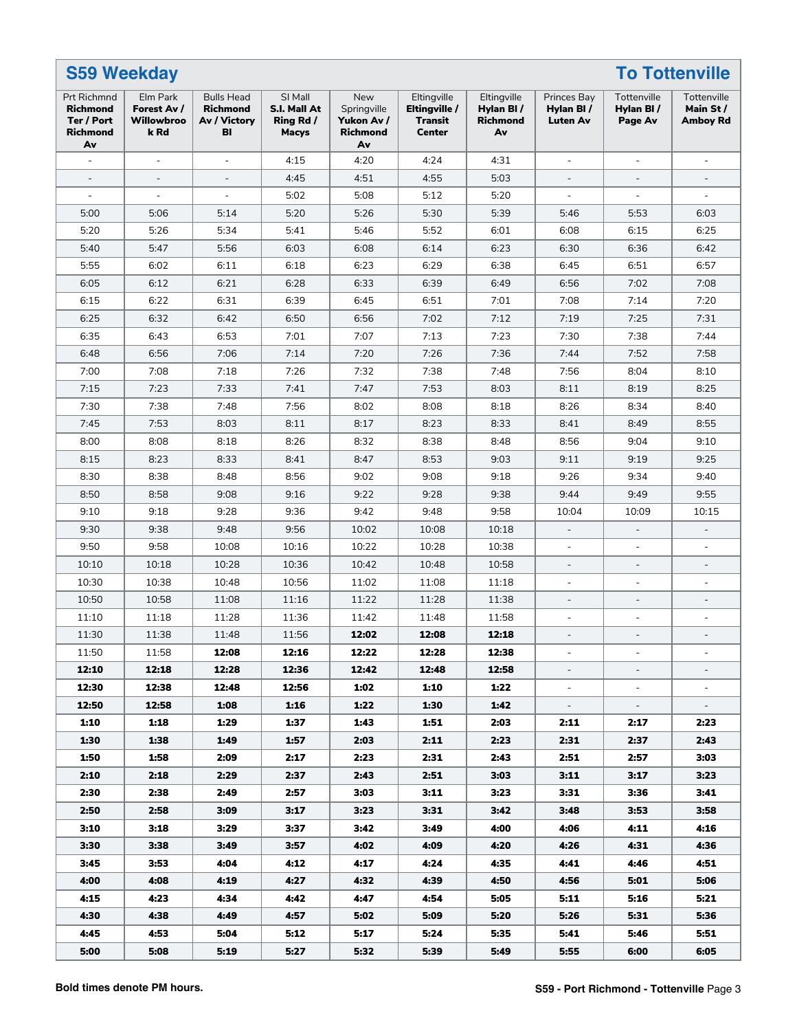|                                                                       | <b>S59 Weekday</b><br><b>To Tottenville</b>   |                                                            |                                                      |                                                           |                                                          |                                            |                                             |                                     |                                             |
|-----------------------------------------------------------------------|-----------------------------------------------|------------------------------------------------------------|------------------------------------------------------|-----------------------------------------------------------|----------------------------------------------------------|--------------------------------------------|---------------------------------------------|-------------------------------------|---------------------------------------------|
| Prt Richmnd<br><b>Richmond</b><br>Ter / Port<br><b>Richmond</b><br>Av | Elm Park<br>Forest Av /<br>Willowbroo<br>k Rd | <b>Bulls Head</b><br><b>Richmond</b><br>Av / Victory<br>BI | SI Mall<br>S.I. Mall At<br>Ring Rd /<br><b>Macys</b> | New<br>Springville<br>Yukon Av /<br><b>Richmond</b><br>Av | Eltingville<br>Eltingville /<br>Transit<br><b>Center</b> | Eltingville<br>Hylan BI/<br>Richmond<br>Av | Princes Bay<br>Hylan BI/<br><b>Luten Av</b> | Tottenville<br>Hylan BI/<br>Page Av | Tottenville<br>Main St /<br><b>Amboy Rd</b> |
| ÷,                                                                    | $\overline{\phantom{a}}$                      | $\overline{\phantom{a}}$                                   | 4:15                                                 | 4:20                                                      | 4:24                                                     | 4:31                                       |                                             | $\bar{\phantom{a}}$                 |                                             |
| $\overline{a}$                                                        |                                               |                                                            | 4:45                                                 | 4:51                                                      | 4:55                                                     | 5:03                                       |                                             |                                     |                                             |
| $\overline{\phantom{a}}$                                              | $\overline{\phantom{a}}$                      | $\overline{\phantom{a}}$                                   | 5:02                                                 | 5:08                                                      | 5:12                                                     | 5:20                                       | $\overline{\phantom{a}}$                    | $\overline{\phantom{a}}$            | $\overline{\phantom{a}}$                    |
| 5:00                                                                  | 5:06                                          | 5:14                                                       | 5:20                                                 | 5:26                                                      | 5:30                                                     | 5:39                                       | 5:46                                        | 5:53                                | 6:03                                        |
| 5:20                                                                  | 5:26                                          | 5:34                                                       | 5:41                                                 | 5:46                                                      | 5:52                                                     | 6:01                                       | 6:08                                        | 6:15                                | 6:25                                        |
| 5:40                                                                  | 5:47                                          | 5:56                                                       | 6:03                                                 | 6:08                                                      | 6:14                                                     | 6:23                                       | 6:30                                        | 6:36                                | 6:42                                        |
| 5:55                                                                  | 6:02                                          | 6:11                                                       | 6:18                                                 | 6:23                                                      | 6:29                                                     | 6:38                                       | 6:45                                        | 6:51                                | 6:57                                        |
| 6:05                                                                  | 6:12                                          | 6:21                                                       | 6:28                                                 | 6:33                                                      | 6:39                                                     | 6:49                                       | 6:56                                        | 7:02                                | 7:08                                        |
| 6:15                                                                  | 6:22                                          | 6:31                                                       | 6:39                                                 | 6:45                                                      | 6:51                                                     | 7:01                                       | 7:08                                        | 7:14                                | 7:20                                        |
| 6:25                                                                  | 6:32                                          | 6:42                                                       | 6:50                                                 | 6:56                                                      | 7:02                                                     | 7:12                                       | 7:19                                        | 7:25                                | 7:31                                        |
| 6:35                                                                  | 6:43                                          | 6:53                                                       | 7:01                                                 | 7:07                                                      | 7:13                                                     | 7:23                                       | 7:30                                        | 7:38                                | 7:44                                        |
| 6:48                                                                  | 6:56                                          | 7:06                                                       | 7:14                                                 | 7:20                                                      | 7:26                                                     | 7:36                                       | 7:44                                        | 7:52                                | 7:58                                        |
| 7:00                                                                  | 7:08                                          | 7:18                                                       | 7:26                                                 | 7:32                                                      | 7:38                                                     | 7:48                                       | 7:56                                        | 8:04                                | 8:10                                        |
| 7:15                                                                  | 7:23                                          | 7:33                                                       | 7:41                                                 | 7:47                                                      | 7:53                                                     | 8:03                                       | 8:11                                        | 8:19                                | 8:25                                        |
| 7:30                                                                  | 7:38                                          | 7:48                                                       | 7:56                                                 | 8:02                                                      | 8:08                                                     | 8:18                                       | 8:26                                        | 8:34                                | 8:40                                        |
| 7:45                                                                  | 7:53                                          | 8:03                                                       | 8:11                                                 | 8:17                                                      | 8:23                                                     | 8:33                                       | 8:41                                        | 8:49                                | 8:55                                        |
| 8:00                                                                  | 8:08                                          | 8:18                                                       | 8:26                                                 | 8:32                                                      | 8:38                                                     | 8:48                                       | 8:56                                        | 9:04                                | 9:10                                        |
| 8:15                                                                  | 8:23                                          | 8:33                                                       | 8:41                                                 | 8:47                                                      | 8:53                                                     | 9:03                                       | 9:11                                        | 9:19                                | 9:25                                        |
| 8:30                                                                  | 8:38                                          | 8:48                                                       | 8:56                                                 | 9:02                                                      | 9:08                                                     | 9:18                                       | 9:26                                        | 9:34                                | 9:40                                        |
| 8:50                                                                  | 8:58                                          | 9:08                                                       | 9:16                                                 | 9:22                                                      | 9:28                                                     | 9:38                                       | 9:44                                        | 9:49                                | 9:55                                        |
| 9:10                                                                  | 9:18                                          | 9:28                                                       | 9:36                                                 | 9:42                                                      | 9:48                                                     | 9:58                                       | 10:04                                       | 10:09                               | 10:15                                       |
| 9:30                                                                  | 9:38                                          | 9:48                                                       | 9:56                                                 | 10:02                                                     | 10:08                                                    | 10:18                                      |                                             |                                     |                                             |
| 9:50                                                                  | 9:58                                          | 10:08                                                      | 10:16                                                | 10:22                                                     | 10:28                                                    | 10:38                                      | $\overline{\phantom{a}}$                    | $\blacksquare$                      | $\overline{\phantom{a}}$                    |
| 10:10                                                                 | 10:18                                         | 10:28                                                      | 10:36                                                | 10:42                                                     | 10:48                                                    | 10:58                                      | $\overline{\phantom{a}}$                    | $\blacksquare$                      | $\overline{\phantom{a}}$                    |
| 10:30                                                                 | 10:38                                         | 10:48                                                      | 10:56                                                | 11:02                                                     | 11:08                                                    | 11:18                                      | $\blacksquare$                              | $\bar{\phantom{a}}$                 |                                             |
| 10:50                                                                 | 10:58                                         | 11:08                                                      | 11:16                                                | 11:22                                                     | 11:28                                                    | 11:38                                      | $\overline{\phantom{a}}$                    | $\overline{a}$                      |                                             |
| 11:10                                                                 | 11:18                                         | 11:28                                                      | 11:36                                                | 11:42                                                     | 11:48                                                    | 11:58                                      | $\overline{\phantom{a}}$                    | $\blacksquare$                      | $\overline{\phantom{a}}$                    |
| 11:30                                                                 | 11:38                                         | 11:48                                                      | 11:56                                                | 12:02                                                     | 12:08                                                    | 12:18                                      | $\overline{\phantom{a}}$                    | $\overline{a}$                      | $\overline{\phantom{a}}$                    |
| 11:50                                                                 | 11:58                                         | 12:08                                                      | 12:16                                                | 12:22                                                     | 12:28                                                    | 12:38                                      |                                             |                                     |                                             |
| 12:10                                                                 | 12:18                                         | 12:28                                                      | 12:36                                                | 12:42                                                     | 12:48                                                    | 12:58                                      |                                             |                                     |                                             |
| 12:30                                                                 | 12:38                                         | 12:48                                                      | 12:56                                                | 1:02                                                      | 1:10                                                     | 1:22                                       | $\overline{\phantom{a}}$                    | $\overline{\phantom{a}}$            |                                             |
| 12:50                                                                 | 12:58                                         | 1:08                                                       | 1:16                                                 | 1:22                                                      | 1:30                                                     | 1:42                                       | $\blacksquare$                              | $\equiv$                            | $\overline{\phantom{a}}$                    |
| 1:10                                                                  | 1:18                                          | 1:29                                                       | 1:37                                                 | 1:43                                                      | 1:51                                                     | 2:03                                       | 2:11                                        | 2:17                                | 2:23                                        |
| 1:30                                                                  | 1:38                                          | 1:49                                                       | 1:57                                                 | 2:03                                                      | 2:11                                                     | 2:23                                       | 2:31                                        | 2:37                                | 2:43                                        |
| 1:50                                                                  | 1:58                                          | 2:09                                                       | 2:17                                                 | 2:23                                                      | 2:31                                                     | 2:43                                       | 2:51                                        | 2:57                                | 3:03                                        |
| 2:10                                                                  | 2:18                                          | 2:29                                                       | 2:37                                                 | 2:43                                                      | 2:51                                                     | 3:03                                       | 3:11                                        | 3:17                                | 3:23                                        |
| 2:30                                                                  | 2:38                                          | 2:49                                                       | 2:57                                                 | 3:03                                                      | 3:11                                                     | 3:23                                       | 3:31                                        | 3:36                                | 3:41                                        |
| 2:50                                                                  | 2:58                                          | 3:09                                                       | 3:17                                                 | 3:23                                                      | 3:31                                                     | 3:42                                       | 3:48                                        | 3:53                                | 3:58                                        |
| 3:10                                                                  | 3:18                                          | 3:29                                                       | 3:37                                                 | 3:42                                                      | 3:49                                                     | 4:00                                       | 4:06                                        | 4:11                                | 4:16                                        |
| 3:30                                                                  | 3:38                                          | 3:49                                                       | 3:57                                                 | 4:02                                                      | 4:09                                                     | 4:20                                       | 4:26                                        | 4:31                                | 4:36                                        |
| 3:45                                                                  | 3:53                                          | 4:04                                                       | 4:12                                                 | 4:17                                                      | 4:24                                                     | 4:35                                       | 4:41                                        | 4:46                                | 4:51                                        |
| 4:00                                                                  | 4:08                                          | 4:19                                                       | 4:27                                                 | 4:32                                                      | 4:39                                                     | 4:50                                       | 4:56                                        | 5:01                                | 5:06                                        |
| 4:15                                                                  | 4:23                                          | 4:34                                                       | 4:42                                                 | 4:47                                                      | 4:54                                                     | 5:05                                       | 5:11                                        | 5:16                                | 5:21                                        |
| 4:30                                                                  | 4:38                                          | 4:49                                                       | 4:57                                                 | 5:02                                                      | 5:09                                                     | 5:20                                       | 5:26                                        | 5:31                                | 5:36                                        |
| 4:45                                                                  | 4:53                                          | 5:04                                                       | 5:12                                                 | 5:17                                                      | 5:24                                                     | 5:35                                       | 5:41                                        | 5:46                                | 5:51                                        |
| 5:00                                                                  | 5:08                                          | 5:19                                                       | 5:27                                                 | 5:32                                                      | 5:39                                                     | 5:49                                       | 5:55                                        | 6:00                                | 6:05                                        |
|                                                                       |                                               |                                                            |                                                      |                                                           |                                                          |                                            |                                             |                                     |                                             |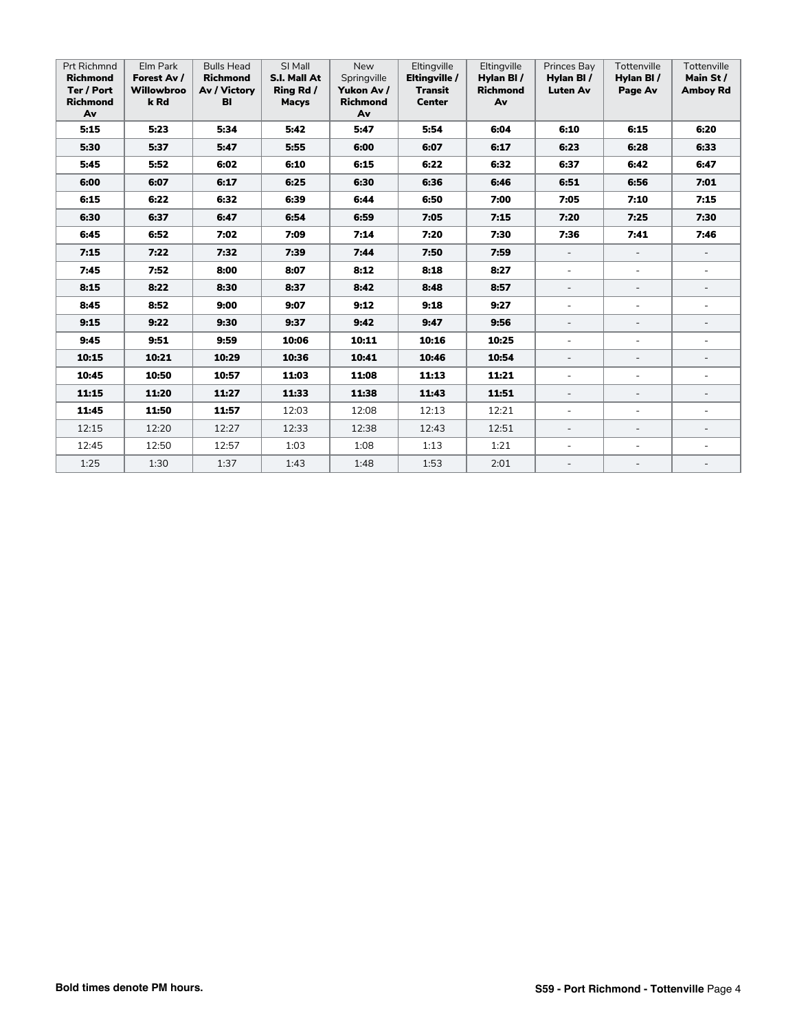| <b>Prt Richmnd</b><br><b>Richmond</b><br>Ter / Port<br><b>Richmond</b><br>Av | Elm Park<br>Forest Av /<br><b>Willowbroo</b><br>k Rd | <b>Bulls Head</b><br><b>Richmond</b><br>Av / Victory<br>BI | SI Mall<br>S.I. Mall At<br>Ring Rd /<br><b>Macys</b> | <b>New</b><br>Springville<br>Yukon Av /<br><b>Richmond</b><br>Av | Eltingville<br>Eltingville /<br><b>Transit</b><br><b>Center</b> | Eltingville<br>Hylan BI/<br><b>Richmond</b><br>Av | Princes Bay<br>Hylan BI/<br><b>Luten Av</b> | Tottenville<br>Hylan BI/<br>Page Av | Tottenville<br>Main St /<br><b>Amboy Rd</b> |
|------------------------------------------------------------------------------|------------------------------------------------------|------------------------------------------------------------|------------------------------------------------------|------------------------------------------------------------------|-----------------------------------------------------------------|---------------------------------------------------|---------------------------------------------|-------------------------------------|---------------------------------------------|
| 5:15                                                                         | 5:23                                                 | 5:34                                                       | 5:42                                                 | 5:47                                                             | 5:54                                                            | 6:04                                              | 6:10                                        | 6:15                                | 6:20                                        |
| 5:30                                                                         | 5:37                                                 | 5:47                                                       | 5:55                                                 | 6:00                                                             | 6:07                                                            | 6:17                                              | 6:23                                        | 6:28                                | 6:33                                        |
| 5:45                                                                         | 5:52                                                 | 6:02                                                       | 6:10                                                 | 6:15                                                             | 6:22                                                            | 6:32                                              | 6:37                                        | 6:42                                | 6:47                                        |
| 6:00                                                                         | 6:07                                                 | 6:17                                                       | 6:25                                                 | 6:30                                                             | 6:36                                                            | 6:46                                              | 6:51                                        | 6:56                                | 7:01                                        |
| 6:15                                                                         | 6:22                                                 | 6:32                                                       | 6:39                                                 | 6:44                                                             | 6:50                                                            | 7:00                                              | 7:05                                        | 7:10                                | 7:15                                        |
| 6:30                                                                         | 6:37                                                 | 6:47                                                       | 6:54                                                 | 6:59                                                             | 7:05                                                            | 7:15                                              | 7:20                                        | 7:25                                | 7:30                                        |
| 6:45                                                                         | 6:52                                                 | 7:02                                                       | 7:09                                                 | 7:14                                                             | 7:20                                                            | 7:30                                              | 7:36                                        | 7:41                                | 7:46                                        |
| 7:15                                                                         | 7:22                                                 | 7:32                                                       | 7:39                                                 | 7:44                                                             | 7:50                                                            | 7:59                                              | $\overline{\phantom{a}}$                    |                                     |                                             |
| 7:45                                                                         | 7:52                                                 | 8:00                                                       | 8:07                                                 | 8:12                                                             | 8:18                                                            | 8:27                                              | $\overline{\phantom{a}}$                    | $\sim$                              | $\blacksquare$                              |
| 8:15                                                                         | 8:22                                                 | 8:30                                                       | 8:37                                                 | 8:42                                                             | 8:48                                                            | 8:57                                              | $\overline{\phantom{a}}$                    | $\overline{\phantom{a}}$            |                                             |
| 8:45                                                                         | 8:52                                                 | 9:00                                                       | 9:07                                                 | 9:12                                                             | 9:18                                                            | 9:27                                              | $\blacksquare$                              | $\equiv$                            | $\sim$                                      |
| 9:15                                                                         | 9:22                                                 | 9:30                                                       | 9:37                                                 | 9:42                                                             | 9:47                                                            | 9:56                                              | $\overline{\phantom{a}}$                    |                                     |                                             |
| 9:45                                                                         | 9:51                                                 | 9:59                                                       | 10:06                                                | 10:11                                                            | 10:16                                                           | 10:25                                             | $\blacksquare$                              | $\sim$                              |                                             |
| 10:15                                                                        | 10:21                                                | 10:29                                                      | 10:36                                                | 10:41                                                            | 10:46                                                           | 10:54                                             | $\overline{\phantom{a}}$                    | $\equiv$                            |                                             |
| 10:45                                                                        | 10:50                                                | 10:57                                                      | 11:03                                                | 11:08                                                            | 11:13                                                           | 11:21                                             | $\blacksquare$                              | $\sim$                              | $\sim$                                      |
| 11:15                                                                        | 11:20                                                | 11:27                                                      | 11:33                                                | 11:38                                                            | 11:43                                                           | 11:51                                             | $\overline{\phantom{a}}$                    | $\overline{\phantom{a}}$            |                                             |
| 11:45                                                                        | 11:50                                                | 11:57                                                      | 12:03                                                | 12:08                                                            | 12:13                                                           | 12:21                                             | $\blacksquare$                              | $\equiv$                            | $\sim$                                      |
| 12:15                                                                        | 12:20                                                | 12:27                                                      | 12:33                                                | 12:38                                                            | 12:43                                                           | 12:51                                             | $\overline{\phantom{a}}$                    | $\overline{\phantom{a}}$            | $\overline{\phantom{a}}$                    |
| 12:45                                                                        | 12:50                                                | 12:57                                                      | 1:03                                                 | 1:08                                                             | 1:13                                                            | 1:21                                              | $\overline{\phantom{a}}$                    | $\bar{a}$                           |                                             |
| 1:25                                                                         | 1:30                                                 | 1:37                                                       | 1:43                                                 | 1:48                                                             | 1:53                                                            | 2:01                                              | $\overline{\phantom{a}}$                    |                                     |                                             |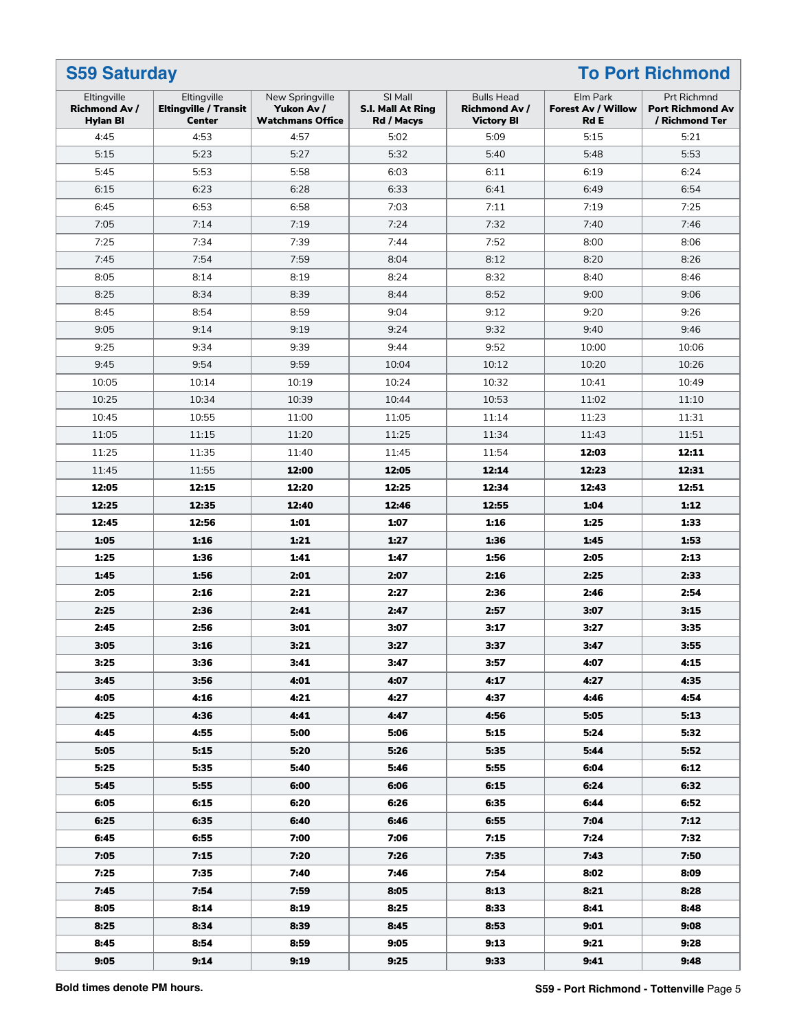| Eltingville                             | Eltingville                                   | New Springville                       | SI Mall                                | <b>Bulls Head</b>                         | Elm Park                                 | Prt Richmnd                               |
|-----------------------------------------|-----------------------------------------------|---------------------------------------|----------------------------------------|-------------------------------------------|------------------------------------------|-------------------------------------------|
| <b>Richmond Av /</b><br><b>Hylan BI</b> | <b>Eltingville / Transit</b><br><b>Center</b> | Yukon Av /<br><b>Watchmans Office</b> | <b>S.I. Mall At Ring</b><br>Rd / Macys | <b>Richmond Av /</b><br><b>Victory BI</b> | <b>Forest Av / Willow</b><br><b>Rd E</b> | <b>Port Richmond Av</b><br>/ Richmond Ter |
| 4:45                                    | 4:53                                          | 4:57                                  | 5:02                                   | 5:09                                      | 5:15                                     | 5:21                                      |
| 5:15                                    | 5:23                                          | 5:27                                  | 5:32                                   | 5:40                                      | 5:48                                     | 5:53                                      |
| 5:45                                    | 5:53                                          | 5:58                                  | 6:03                                   | 6:11                                      | 6:19                                     | 6:24                                      |
| 6:15                                    | 6:23                                          | 6:28                                  | 6:33                                   | 6:41                                      | 6:49                                     | 6:54                                      |
| 6:45                                    | 6:53                                          | 6:58                                  | 7:03                                   | 7:11                                      | 7:19                                     | 7:25                                      |
| 7:05                                    | 7:14                                          | 7:19                                  | 7:24                                   | 7:32                                      | 7:40                                     | 7:46                                      |
| 7:25                                    | 7:34                                          | 7:39                                  | 7:44                                   | 7:52                                      | 8:00                                     | 8:06                                      |
| 7:45                                    | 7:54                                          | 7:59                                  | 8:04                                   | 8:12                                      | 8:20                                     | 8:26                                      |
| 8:05                                    | 8:14                                          | 8:19                                  | 8:24                                   | 8:32                                      | 8:40                                     | 8:46                                      |
| 8:25                                    | 8:34                                          | 8:39                                  | 8:44                                   | 8:52                                      | 9:00                                     | 9:06                                      |
| 8:45                                    | 8:54                                          | 8:59                                  | 9:04                                   | 9:12                                      | 9:20                                     | 9:26                                      |
| 9:05                                    | 9:14                                          | 9:19                                  | 9:24                                   | 9:32                                      | 9:40                                     | 9:46                                      |
| 9:25                                    | 9:34                                          | 9:39                                  | 9:44                                   | 9:52                                      | 10:00                                    | 10:06                                     |
| 9:45                                    | 9:54                                          | 9:59                                  | 10:04                                  | 10:12                                     | 10:20                                    | 10:26                                     |
| 10:05                                   | 10:14                                         | 10:19                                 | 10:24                                  | 10:32                                     | 10:41                                    | 10:49                                     |
| 10:25                                   | 10:34                                         | 10:39                                 | 10:44                                  | 10:53                                     | 11:02                                    | 11:10                                     |
| 10:45                                   | 10:55                                         | 11:00                                 | 11:05                                  | 11:14                                     | 11:23                                    | 11:31                                     |
| 11:05                                   | 11:15                                         | 11:20                                 | 11:25                                  | 11:34                                     | 11:43                                    | 11:51                                     |
| 11:25                                   | 11:35                                         | 11:40                                 | 11:45                                  | 11:54                                     | 12:03                                    | 12:11                                     |
| 11:45                                   | 11:55                                         | 12:00                                 | 12:05                                  | 12:14                                     | 12:23                                    | 12:31                                     |
| 12:05                                   | 12:15                                         | 12:20                                 | 12:25                                  | 12:34                                     | 12:43                                    | 12:51                                     |
| 12:25                                   | 12:35                                         | 12:40                                 | 12:46                                  | 12:55                                     | 1:04                                     | 1:12                                      |
| 12:45                                   | 12:56                                         | 1:01                                  | 1:07                                   | 1:16                                      | 1:25                                     | 1:33                                      |
| 1:05                                    | 1:16                                          | 1:21                                  | 1:27                                   | 1:36                                      | 1:45                                     | 1:53                                      |
| 1:25                                    | 1:36                                          | 1:41                                  | 1:47                                   | 1:56                                      | 2:05                                     | 2:13                                      |
| 1:45                                    | 1:56                                          | 2:01                                  | 2:07                                   | 2:16                                      | 2:25                                     | 2:33                                      |
| 2:05                                    | 2:16                                          | 2:21                                  | 2:27                                   | 2:36                                      | 2:46                                     | 2:54                                      |
| 2:25                                    | 2:36                                          | 2:41                                  | 2:47                                   | 2:57                                      | 3:07                                     | 3:15                                      |
| 2:45                                    | 2:56                                          | 3:01                                  | 3:07                                   | 3:17                                      | 3:27                                     | 3:35                                      |
| 3:05                                    | 3:16                                          | 3:21                                  | 3:27                                   | 3:37                                      | 3:47                                     | 3:55                                      |
| 3:25                                    | 3:36                                          | 3:41                                  | 3:47                                   | 3:57                                      | 4:07                                     | 4:15                                      |
| 3:45                                    | 3:56                                          | 4:01                                  | 4:07                                   | 4:17                                      | 4:27                                     | 4:35                                      |
| 4:05                                    | 4:16                                          | 4:21                                  | 4:27                                   | 4:37                                      | 4:46                                     | 4:54                                      |
| 4:25                                    | 4:36                                          | 4:41                                  | 4:47                                   | 4:56                                      | 5:05                                     | 5:13                                      |
| 4:45                                    | 4:55                                          | 5:00                                  | 5:06                                   | 5:15                                      | 5:24                                     | 5:32                                      |
| 5:05                                    | 5:15                                          | 5:20                                  | 5:26                                   | 5:35                                      | 5:44                                     | 5:52                                      |
| 5:25                                    | 5:35                                          | 5:40                                  | 5:46                                   | 5:55                                      | 6:04                                     | 6:12                                      |
| 5:45                                    | 5:55                                          | 6:00                                  | 6:06                                   | 6:15                                      | 6:24                                     | 6:32                                      |
| 6:05                                    | 6:15                                          | 6:20                                  | 6:26                                   | 6:35                                      | 6:44                                     | 6:52                                      |
| 6:25                                    | 6:35                                          | 6:40                                  | 6:46                                   | 6:55                                      | 7:04                                     | 7:12                                      |
| 6:45                                    | 6:55                                          | 7:00                                  | 7:06                                   | 7:15                                      | 7:24                                     | 7:32                                      |
| 7:05                                    | 7:15                                          | 7:20                                  | 7:26                                   | 7:35                                      | 7:43                                     | 7:50                                      |
| 7:25                                    | 7:35                                          | 7:40                                  | 7:46                                   | 7:54                                      | 8:02                                     | 8:09                                      |
| 7:45                                    | 7:54                                          | 7:59                                  | 8:05                                   | 8:13                                      | 8:21                                     | 8:28                                      |
| 8:05                                    | 8:14                                          | 8:19                                  | 8:25                                   | 8:33                                      | 8:41                                     | 8:48                                      |
| 8:25                                    | 8:34                                          | 8:39                                  | 8:45                                   | 8:53                                      | 9:01                                     | 9:08                                      |
| 8:45                                    | 8:54                                          | 8:59                                  | 9:05                                   | 9:13                                      | 9:21                                     | 9:28                                      |
| 9:05                                    | 9:14                                          | 9:19                                  | 9:25                                   | 9:33                                      | 9:41                                     | 9:48                                      |
|                                         |                                               |                                       |                                        |                                           |                                          |                                           |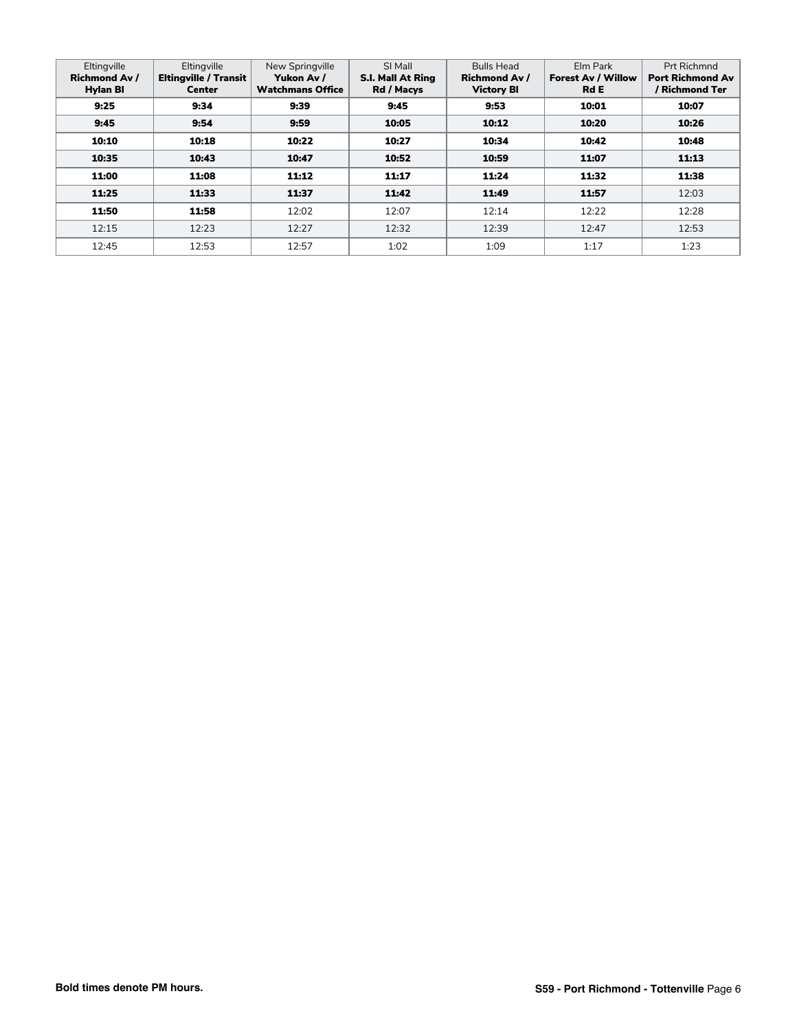| Eltingville<br><b>Richmond Av /</b><br><b>Hylan BI</b> | Eltingville<br>Eltingville / Transit<br><b>Center</b> | New Springville<br>Yukon Av /<br><b>Watchmans Office</b> | SI Mall<br><b>S.I. Mall At Ring</b><br>Rd / Macys | <b>Bulls Head</b><br><b>Richmond Av /</b><br><b>Victory BI</b> | Elm Park<br><b>Forest Av / Willow</b><br><b>Rd E</b> | Prt Richmnd<br><b>Port Richmond Av</b><br>/ Richmond Ter |
|--------------------------------------------------------|-------------------------------------------------------|----------------------------------------------------------|---------------------------------------------------|----------------------------------------------------------------|------------------------------------------------------|----------------------------------------------------------|
| 9:25                                                   | 9:34                                                  | 9:39                                                     | 9:45                                              | 9:53                                                           | 10:01                                                | 10:07                                                    |
| 9:45                                                   | 9:54                                                  | 9:59                                                     | 10:05                                             | 10:12                                                          | 10:20                                                | 10:26                                                    |
| 10:10                                                  | 10:18                                                 | 10:22                                                    | 10:27                                             | 10:34                                                          | 10:42                                                | 10:48                                                    |
| 10:35                                                  | 10:43                                                 | 10:47                                                    | 10:52                                             | 10:59                                                          | 11:07                                                | 11:13                                                    |
| 11:00                                                  | 11:08                                                 | 11:12                                                    | 11:17                                             | 11:24                                                          | 11:32                                                | 11:38                                                    |
| 11:25                                                  | 11:33                                                 | 11:37                                                    | 11:42                                             | 11:49                                                          | 11:57                                                | 12:03                                                    |
| 11:50                                                  | 11:58                                                 | 12:02                                                    | 12:07                                             | 12:14                                                          | 12:22                                                | 12:28                                                    |
| 12:15                                                  | 12:23                                                 | 12:27                                                    | 12:32                                             | 12:39                                                          | 12:47                                                | 12:53                                                    |
| 12:45                                                  | 12:53                                                 | 12:57                                                    | 1:02                                              | 1:09                                                           | 1:17                                                 | 1:23                                                     |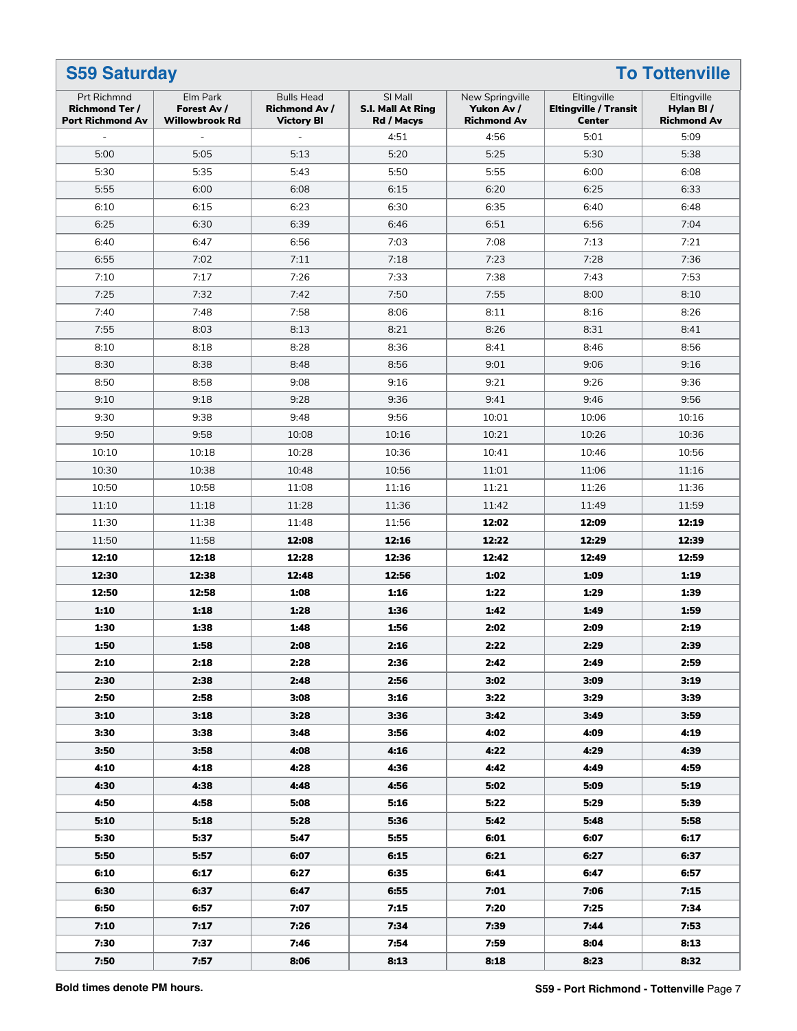| <b>Prt Richmnd</b>                               | Elm Park                             | New Springville                                                | Eltingville                                | Eltingville                      |                                               |                                 |
|--------------------------------------------------|--------------------------------------|----------------------------------------------------------------|--------------------------------------------|----------------------------------|-----------------------------------------------|---------------------------------|
| <b>Richmond Ter /</b><br><b>Port Richmond Av</b> | Forest Av /<br><b>Willowbrook Rd</b> | <b>Bulls Head</b><br><b>Richmond Av /</b><br><b>Victory BI</b> | SI Mall<br>S.I. Mall At Ring<br>Rd / Macys | Yukon Av /<br><b>Richmond Av</b> | <b>Eltingville / Transit</b><br><b>Center</b> | Hylan BI/<br><b>Richmond Av</b> |
|                                                  |                                      |                                                                | 4:51                                       | 4:56                             | 5:01                                          | 5:09                            |
| 5:00                                             | 5:05                                 | 5:13                                                           | 5:20                                       | 5:25                             | 5:30                                          | 5:38                            |
| 5:30                                             | 5:35                                 | 5:43                                                           | 5:50                                       | 5:55                             | 6:00                                          | 6:08                            |
| 5:55                                             | 6:00                                 | 6:08                                                           | 6:15                                       | 6:20                             | 6:25                                          | 6:33                            |
| 6:10                                             | 6:15                                 | 6:23                                                           | 6:30                                       | 6:35                             | 6:40                                          | 6:48                            |
| 6:25                                             | 6:30                                 | 6:39                                                           | 6:46                                       | 6:51                             | 6:56                                          | 7:04                            |
| 6:40                                             | 6:47                                 | 6:56                                                           | 7:03                                       | 7:08                             | 7:13                                          | 7:21                            |
| 6:55                                             | 7:02                                 | 7:11                                                           | 7:18                                       | 7:23                             | 7:28                                          | 7:36                            |
| 7:10                                             | 7:17                                 | 7:26                                                           | 7:33                                       | 7:38                             | 7:43                                          | 7:53                            |
| 7:25                                             | 7:32                                 | 7:42                                                           | 7:50                                       | 7:55                             | 8:00                                          | 8:10                            |
| 7:40                                             | 7:48                                 | 7:58                                                           | 8:06                                       | 8:11                             | 8:16                                          | 8:26                            |
| 7:55                                             | 8:03                                 | 8:13                                                           | 8:21                                       | 8:26                             | 8:31                                          | 8:41                            |
| 8:10                                             | 8:18                                 | 8:28                                                           | 8:36                                       | 8:41                             | 8:46                                          | 8:56                            |
| 8:30                                             | 8:38                                 | 8:48                                                           | 8:56                                       | 9:01                             | 9:06                                          | 9:16                            |
| 8:50                                             | 8:58                                 | 9:08                                                           | 9:16                                       | 9:21                             | 9:26                                          | 9:36                            |
| 9:10                                             | 9:18                                 | 9:28                                                           | 9:36                                       | 9:41                             | 9:46                                          | 9:56                            |
| 9:30                                             | 9:38                                 | 9:48                                                           | 9:56                                       | 10:01                            | 10:06                                         | 10:16                           |
| 9:50                                             | 9:58                                 | 10:08                                                          | 10:16                                      | 10:21                            | 10:26                                         | 10:36                           |
| 10:10                                            | 10:18                                | 10:28                                                          | 10:36                                      | 10:41                            | 10:46                                         | 10:56                           |
| 10:30                                            | 10:38                                | 10:48                                                          | 10:56                                      | 11:01                            | 11:06                                         | 11:16                           |
| 10:50                                            | 10:58                                | 11:08                                                          | 11:16                                      | 11:21                            | 11:26                                         | 11:36                           |
| 11:10                                            | 11:18                                | 11:28                                                          | 11:36                                      | 11:42                            | 11:49                                         | 11:59                           |
| 11:30                                            | 11:38                                | 11:48                                                          | 11:56                                      | 12:02                            | 12:09                                         | 12:19                           |
| 11:50                                            | 11:58                                | 12:08                                                          | 12:16                                      | 12:22                            | 12:29                                         | 12:39                           |
| 12:10                                            | 12:18                                | 12:28                                                          | 12:36                                      | 12:42                            | 12:49                                         | 12:59                           |
| 12:30                                            | 12:38                                | 12:48                                                          | 12:56                                      | 1:02                             | 1:09                                          | 1:19                            |
| 12:50                                            | 12:58                                | 1:08                                                           | 1:16                                       | 1:22                             | 1:29                                          | 1:39                            |
|                                                  |                                      |                                                                |                                            |                                  | 1:49                                          | 1:59                            |
| 1:10                                             | 1:18                                 | 1:28                                                           | 1:36                                       | 1:42                             |                                               |                                 |
| 1:30                                             | 1:38<br>1:58                         | 1:48                                                           | 1:56                                       | 2:02                             | 2:09                                          | 2:19<br>2:39                    |
| 1:50                                             |                                      | 2:08                                                           | 2:16                                       | 2:22                             | 2:29                                          |                                 |
| 2:10                                             | 2:18                                 | 2:28                                                           | 2:36                                       | 2:42                             | 2:49                                          | 2:59                            |
| 2:30                                             | 2:38                                 | 2:48                                                           | 2:56                                       | 3:02                             | 3:09                                          | 3:19                            |
| 2:50                                             | 2:58                                 | 3:08                                                           | 3:16                                       | 3:22                             | 3:29                                          | 3:39                            |
| 3:10                                             | 3:18                                 | 3:28                                                           | 3:36                                       | 3:42                             | 3:49                                          | 3:59                            |
| 3:30                                             | 3:38                                 | 3:48                                                           | 3:56                                       | 4:02                             | 4:09                                          | 4:19                            |
| 3:50                                             | 3:58                                 | 4:08                                                           | 4:16                                       | 4:22                             | 4:29                                          | 4:39                            |
| 4:10                                             | 4:18                                 | 4:28                                                           | 4:36                                       | 4:42                             | 4:49                                          | 4:59                            |
| 4:30                                             | 4:38                                 | 4:48                                                           | 4:56                                       | 5:02                             | 5:09                                          | 5:19                            |
| 4:50                                             | 4:58                                 | 5:08                                                           | 5:16                                       | 5:22                             | 5:29                                          | 5:39                            |
| 5:10                                             | 5:18                                 | 5:28                                                           | 5:36                                       | 5:42                             | 5:48                                          | 5:58                            |
| 5:30                                             | 5:37                                 | 5:47                                                           | 5:55                                       | 6:01                             | 6:07                                          | 6:17                            |
| 5:50                                             | 5:57                                 | 6:07                                                           | 6:15                                       | 6:21                             | 6:27                                          | 6:37                            |
| 6:10                                             | 6:17                                 | 6:27                                                           | 6:35                                       | 6:41                             | 6:47                                          | 6:57                            |
| 6:30                                             | 6:37                                 | 6:47                                                           | 6:55                                       | 7:01                             | 7:06                                          | 7:15                            |
| 6:50                                             | 6:57                                 | 7:07                                                           | 7:15                                       | 7:20                             | 7:25                                          | 7:34                            |
| 7:10                                             | 7:17                                 | 7:26                                                           | 7:34                                       | 7:39                             | 7:44                                          | 7:53                            |
| 7:30                                             | 7:37                                 | 7:46                                                           | 7:54                                       | 7:59                             | 8:04                                          | 8:13                            |
| 7:50                                             | 7:57                                 | 8:06                                                           | 8:13                                       | 8:18                             | 8:23                                          | 8:32                            |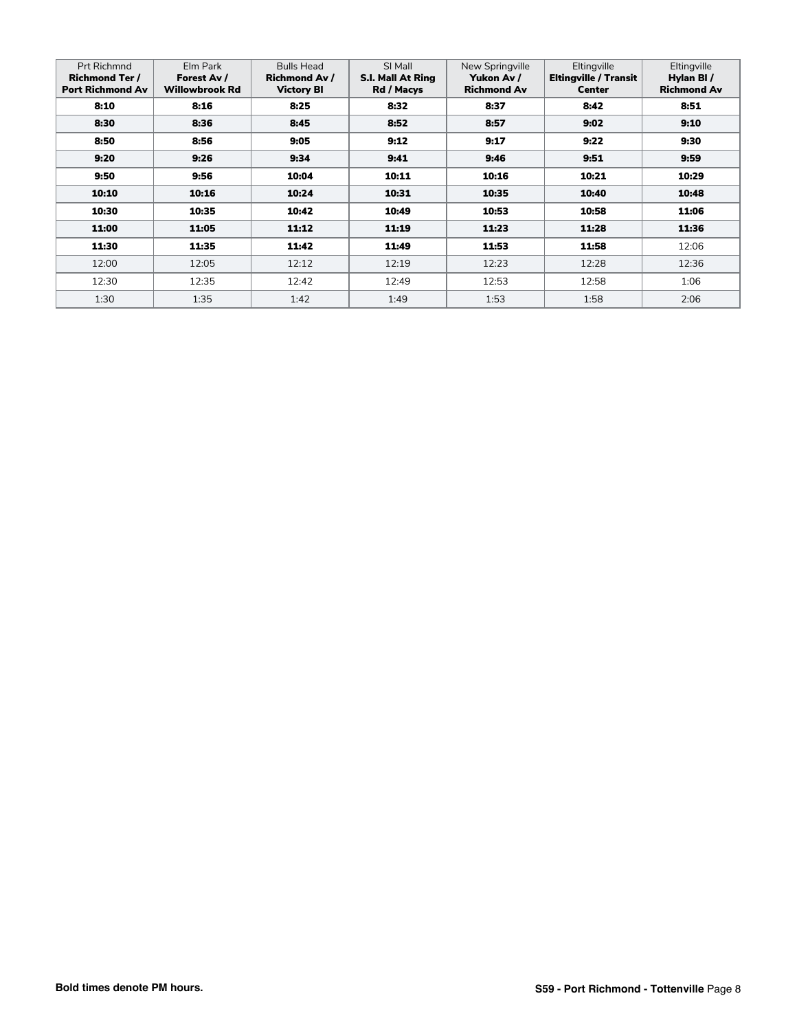| <b>Prt Richmnd</b><br><b>Richmond Ter /</b><br><b>Port Richmond Av</b> | Elm Park<br>Forest Av /<br><b>Willowbrook Rd</b> | <b>Bulls Head</b><br><b>Richmond Av /</b><br><b>Victory BI</b> | SI Mall<br>S.I. Mall At Ring<br>Rd / Macys | New Springville<br>Yukon Av /<br><b>Richmond Av</b> | Eltingville<br>Eltingville / Transit<br><b>Center</b> | Eltingville<br>Hylan BI/<br><b>Richmond Av</b> |
|------------------------------------------------------------------------|--------------------------------------------------|----------------------------------------------------------------|--------------------------------------------|-----------------------------------------------------|-------------------------------------------------------|------------------------------------------------|
| 8:10                                                                   | 8:16                                             | 8:25                                                           | 8:32                                       | 8:37                                                | 8:42                                                  | 8:51                                           |
| 8:30                                                                   | 8:36                                             | 8:45                                                           | 8:52                                       | 8:57                                                | 9:02                                                  | 9:10                                           |
| 8:50                                                                   | 8:56                                             | 9:05                                                           | 9:12                                       | 9:17                                                | 9:22                                                  | 9:30                                           |
| 9:20                                                                   | 9:26                                             | 9:34                                                           | 9:41                                       | 9:46                                                | 9:51                                                  | 9:59                                           |
| 9:50                                                                   | 9:56                                             | 10:04                                                          | 10:11                                      | 10:16                                               | 10:21                                                 | 10:29                                          |
| 10:10                                                                  | 10:16                                            | 10:24                                                          | 10:31                                      | 10:35                                               | 10:40                                                 | 10:48                                          |
| 10:30                                                                  | 10:35                                            | 10:42                                                          | 10:49                                      | 10:53                                               | 10:58                                                 | 11:06                                          |
| 11:00                                                                  | 11:05                                            | 11:12                                                          | 11:19                                      | 11:23                                               | 11:28                                                 | 11:36                                          |
| 11:30                                                                  | 11:35                                            | 11:42                                                          | 11:49                                      | 11:53                                               | 11:58                                                 | 12:06                                          |
| 12:00                                                                  | 12:05                                            | 12:12                                                          | 12:19                                      | 12:23                                               | 12:28                                                 | 12:36                                          |
| 12:30                                                                  | 12:35                                            | 12:42                                                          | 12:49                                      | 12:53                                               | 12:58                                                 | 1:06                                           |
| 1:30                                                                   | 1:35                                             | 1:42                                                           | 1:49                                       | 1:53                                                | 1:58                                                  | 2:06                                           |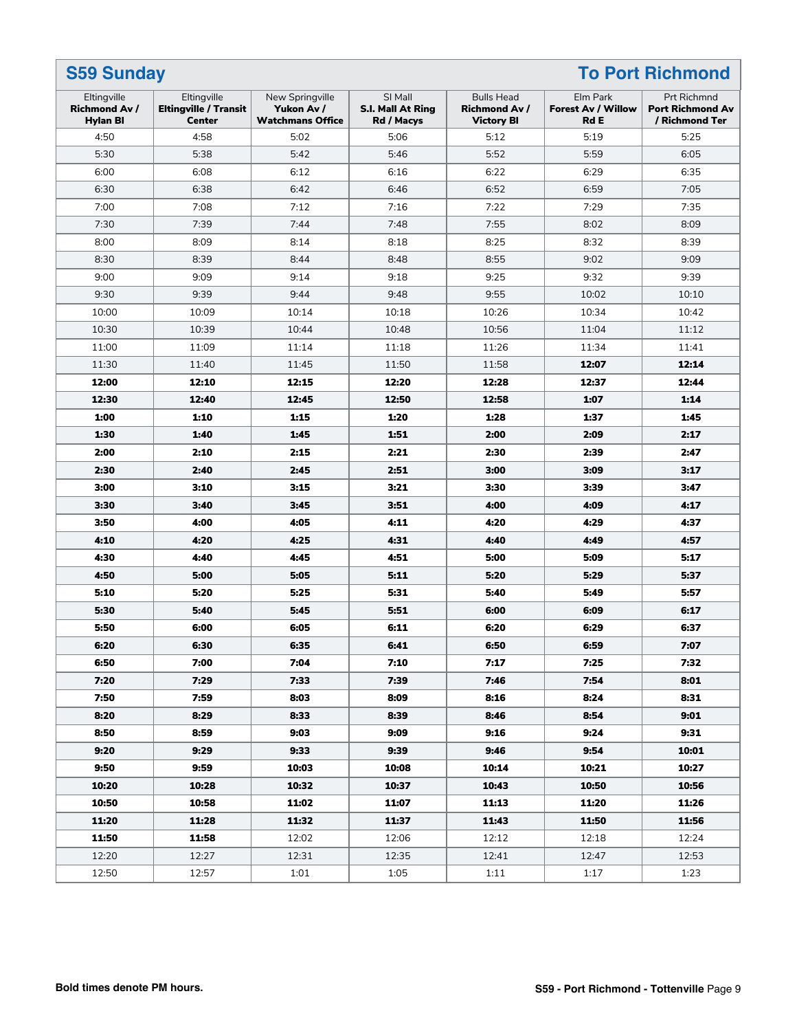| <b>S59 Sunday</b>                                      |                                                              |                                                          |                                            |                                                                | <b>To Port Richmond</b>                              |                                                          |  |
|--------------------------------------------------------|--------------------------------------------------------------|----------------------------------------------------------|--------------------------------------------|----------------------------------------------------------------|------------------------------------------------------|----------------------------------------------------------|--|
| Eltingville<br><b>Richmond Av /</b><br><b>Hylan BI</b> | Eltingville<br><b>Eltingville / Transit</b><br><b>Center</b> | New Springville<br>Yukon Av /<br><b>Watchmans Office</b> | SI Mall<br>S.I. Mall At Ring<br>Rd / Macys | <b>Bulls Head</b><br><b>Richmond Av /</b><br><b>Victory BI</b> | Elm Park<br><b>Forest Av / Willow</b><br><b>Rd E</b> | Prt Richmnd<br><b>Port Richmond Av</b><br>/ Richmond Ter |  |
| 4:50                                                   | 4:58                                                         | 5:02                                                     | 5:06                                       | 5:12                                                           | 5:19                                                 | 5:25                                                     |  |
| 5:30                                                   | 5:38                                                         | 5:42                                                     | 5:46                                       | 5:52                                                           | 5:59                                                 | 6:05                                                     |  |
| 6:00                                                   | 6:08                                                         | 6:12                                                     | 6:16                                       | 6:22                                                           | 6:29                                                 | 6:35                                                     |  |
| 6:30                                                   | 6:38                                                         | 6:42                                                     | 6:46                                       | 6:52                                                           | 6:59                                                 | 7:05                                                     |  |
| 7:00                                                   | 7:08                                                         | 7:12                                                     | 7:16                                       | 7:22                                                           | 7:29                                                 | 7:35                                                     |  |
| 7:30                                                   | 7:39                                                         | 7:44                                                     | 7:48                                       | 7:55                                                           | 8:02                                                 | 8:09                                                     |  |
| 8:00                                                   | 8:09                                                         | 8:14                                                     | 8:18                                       | 8:25                                                           | 8:32                                                 | 8:39                                                     |  |
| 8:30                                                   | 8:39                                                         | 8:44                                                     | 8:48                                       | 8:55                                                           | 9:02                                                 | 9:09                                                     |  |
| 9:00                                                   | 9:09                                                         | 9:14                                                     | 9:18                                       | 9:25                                                           | 9:32                                                 | 9:39                                                     |  |
| 9:30                                                   | 9:39                                                         | 9:44                                                     | 9:48                                       | 9:55                                                           | 10:02                                                | 10:10                                                    |  |
| 10:00                                                  | 10:09                                                        | 10:14                                                    | 10:18                                      | 10:26                                                          | 10:34                                                | 10:42                                                    |  |
| 10:30                                                  | 10:39                                                        | 10:44                                                    | 10:48                                      | 10:56                                                          | 11:04                                                | 11:12                                                    |  |
| 11:00                                                  | 11:09                                                        | 11:14                                                    | 11:18                                      | 11:26                                                          | 11:34                                                | 11:41                                                    |  |
| 11:30                                                  | 11:40                                                        | 11:45                                                    | 11:50                                      | 11:58                                                          | 12:07                                                | 12:14                                                    |  |
| 12:00                                                  | 12:10                                                        | 12:15                                                    | 12:20                                      | 12:28                                                          | 12:37                                                | 12:44                                                    |  |
| 12:30                                                  | 12:40                                                        | 12:45                                                    | 12:50                                      | 12:58                                                          | 1:07                                                 | 1:14                                                     |  |
| 1:00                                                   | 1:10                                                         | 1:15                                                     | 1:20                                       | 1:28                                                           | 1:37                                                 | 1:45                                                     |  |
| 1:30                                                   | 1:40                                                         | 1:45                                                     | 1:51                                       | 2:00                                                           | 2:09                                                 | 2:17                                                     |  |
| 2:00                                                   | 2:10                                                         | 2:15                                                     | 2:21                                       | 2:30                                                           | 2:39                                                 | 2:47                                                     |  |
| 2:30                                                   | 2:40                                                         | 2:45                                                     | 2:51                                       | 3:00                                                           | 3:09                                                 | 3:17                                                     |  |
| 3:00                                                   | 3:10                                                         | 3:15                                                     | 3:21                                       | 3:30                                                           | 3:39                                                 | 3:47                                                     |  |
| 3:30                                                   | 3:40                                                         | 3:45                                                     | 3:51                                       | 4:00                                                           | 4:09                                                 | 4:17                                                     |  |
| 3:50                                                   | 4:00                                                         | 4:05                                                     | 4:11                                       | 4:20                                                           | 4:29                                                 | 4:37                                                     |  |
| 4:10                                                   | 4:20                                                         | 4:25                                                     | 4:31                                       | 4:40                                                           | 4:49                                                 | 4:57                                                     |  |
| 4:30                                                   | 4:40                                                         | 4:45                                                     | 4:51                                       | 5:00                                                           | 5:09                                                 | 5:17                                                     |  |
| 4:50                                                   | 5:00                                                         | 5:05                                                     | 5:11                                       | 5:20                                                           | 5:29                                                 | 5:37                                                     |  |
| 5:10                                                   | 5:20                                                         | 5:25                                                     | 5:31                                       | 5:40                                                           | 5:49                                                 | 5:57                                                     |  |
| 5:30                                                   | 5:40                                                         | 5:45                                                     | 5:51                                       | 6:00                                                           | 6:09                                                 | 6:17                                                     |  |
| 5:50                                                   | 6:00                                                         | 6:05                                                     | 6:11                                       | 6:20                                                           | 6:29                                                 | 6:37                                                     |  |
| 6:20                                                   | 6:30                                                         | 6:35                                                     | 6:41                                       | 6:50                                                           | 6:59                                                 | 7:07                                                     |  |
| 6:50                                                   | 7:00                                                         | 7:04                                                     | 7:10                                       | 7:17                                                           | 7:25                                                 | 7:32                                                     |  |
| 7:20                                                   | 7:29                                                         | 7:33                                                     | 7:39                                       | 7:46                                                           | 7:54                                                 | 8:01                                                     |  |
| 7:50                                                   | 7:59                                                         | 8:03                                                     | 8:09                                       | 8:16                                                           | 8:24                                                 | 8:31                                                     |  |
| 8:20                                                   | 8:29                                                         | 8:33                                                     | 8:39                                       | 8:46                                                           | 8:54                                                 | 9:01                                                     |  |
| 8:50                                                   | 8:59                                                         | 9:03                                                     | 9:09                                       | 9:16                                                           | 9:24                                                 | 9:31                                                     |  |
| 9:20                                                   | 9:29                                                         | 9:33                                                     | 9:39                                       | 9:46                                                           | 9:54                                                 | 10:01                                                    |  |
| 9:50                                                   | 9:59                                                         | 10:03                                                    | 10:08                                      | 10:14                                                          | 10:21                                                | 10:27                                                    |  |
| 10:20                                                  | 10:28                                                        | 10:32                                                    | 10:37                                      | 10:43                                                          | 10:50                                                | 10:56                                                    |  |
| 10:50                                                  | 10:58                                                        | 11:02                                                    | 11:07                                      | 11:13                                                          | 11:20                                                | 11:26                                                    |  |
| 11:20                                                  | 11:28                                                        | 11:32                                                    | 11:37                                      | 11:43                                                          | 11:50                                                | 11:56                                                    |  |
| 11:50                                                  | 11:58                                                        | 12:02                                                    | 12:06                                      | 12:12                                                          | 12:18                                                | 12:24                                                    |  |
| 12:20                                                  | 12:27                                                        | 12:31                                                    | 12:35                                      | 12:41                                                          | 12:47                                                | 12:53                                                    |  |
| 12:50                                                  | 12:57                                                        | 1:01                                                     | 1:05                                       | 1:11                                                           | 1:17                                                 | 1:23                                                     |  |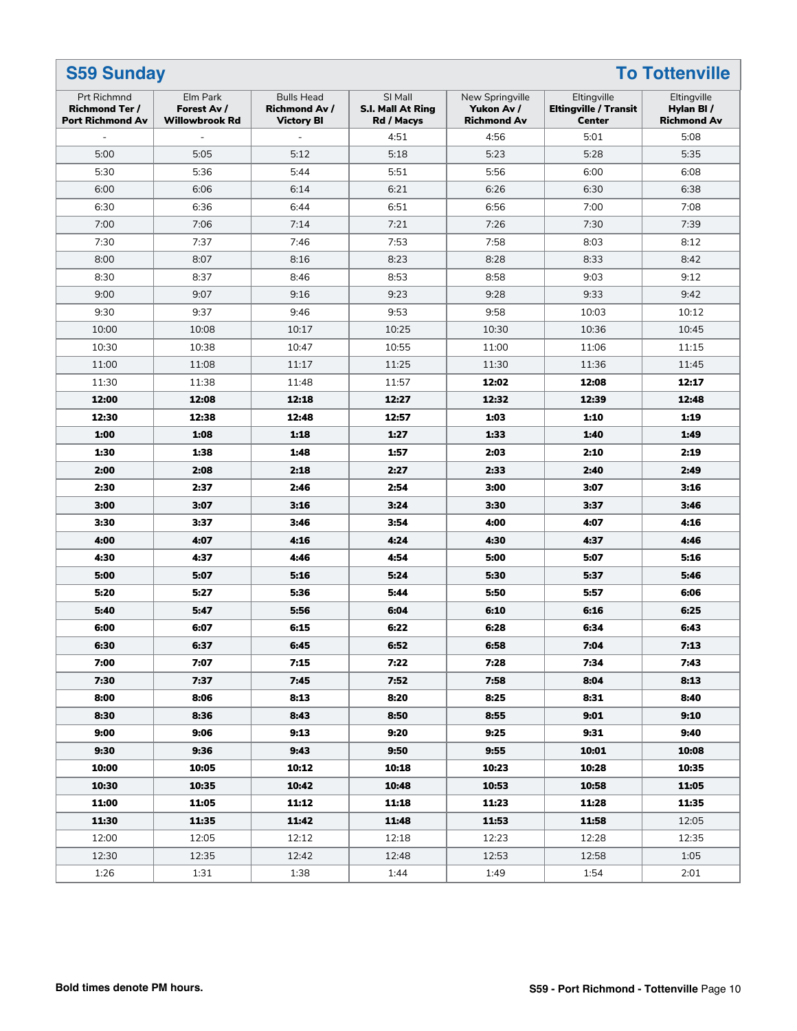| <b>To Tottenville</b><br><b>S59 Sunday</b>                                                                                                                                                                                                                                                                                                                 |                                                |  |  |  |  |  |  |
|------------------------------------------------------------------------------------------------------------------------------------------------------------------------------------------------------------------------------------------------------------------------------------------------------------------------------------------------------------|------------------------------------------------|--|--|--|--|--|--|
| Elm Park<br>SI Mall<br>Eltingville<br>Prt Richmnd<br><b>Bulls Head</b><br>New Springville<br><b>Richmond Ter /</b><br>Forest Av /<br><b>Richmond Av /</b><br>S.I. Mall At Ring<br>Yukon Av /<br><b>Eltingville / Transit</b><br><b>Port Richmond Av</b><br><b>Willowbrook Rd</b><br><b>Richmond Av</b><br><b>Center</b><br><b>Victory BI</b><br>Rd / Macys | Eltingville<br>Hylan BI/<br><b>Richmond Av</b> |  |  |  |  |  |  |
| 4:56<br>5:01<br>4:51<br>$\blacksquare$                                                                                                                                                                                                                                                                                                                     | 5:08                                           |  |  |  |  |  |  |
| 5:00<br>5:05<br>5:12<br>5:18<br>5:23<br>5:28                                                                                                                                                                                                                                                                                                               | 5:35                                           |  |  |  |  |  |  |
| 5:30<br>5:36<br>5:51<br>5:56<br>5:44<br>6:00                                                                                                                                                                                                                                                                                                               | 6:08                                           |  |  |  |  |  |  |
| 6:00<br>6:06<br>6:14<br>6:21<br>6:26<br>6:30                                                                                                                                                                                                                                                                                                               | 6:38                                           |  |  |  |  |  |  |
| 6:36<br>6:51<br>6:56<br>6:30<br>6:44<br>7:00                                                                                                                                                                                                                                                                                                               | 7:08                                           |  |  |  |  |  |  |
| 7:06<br>7:14<br>7:21<br>7:00<br>7:26<br>7:30                                                                                                                                                                                                                                                                                                               | 7:39                                           |  |  |  |  |  |  |
| 7:30<br>7:37<br>7:46<br>7:53<br>7:58<br>8:03                                                                                                                                                                                                                                                                                                               | 8:12                                           |  |  |  |  |  |  |
| 8:00<br>8:07<br>8:23<br>8:28<br>8:33<br>8:16                                                                                                                                                                                                                                                                                                               | 8:42                                           |  |  |  |  |  |  |
| 8:53<br>8:58<br>8:30<br>8:37<br>8:46<br>9:03                                                                                                                                                                                                                                                                                                               | 9:12                                           |  |  |  |  |  |  |
| 9:23<br>9:00<br>9:07<br>9:16<br>9:28<br>9:33                                                                                                                                                                                                                                                                                                               | 9:42                                           |  |  |  |  |  |  |
| 9:37<br>9:53<br>9:58<br>9:30<br>9:46<br>10:03                                                                                                                                                                                                                                                                                                              | 10:12                                          |  |  |  |  |  |  |
| 10:00<br>10:08<br>10:30<br>10:17<br>10:25<br>10:36                                                                                                                                                                                                                                                                                                         | 10:45                                          |  |  |  |  |  |  |
| 10:38<br>10:30<br>10:47<br>10:55<br>11:00<br>11:06                                                                                                                                                                                                                                                                                                         | 11:15                                          |  |  |  |  |  |  |
| 11:00<br>11:08<br>11:17<br>11:25<br>11:30<br>11:36                                                                                                                                                                                                                                                                                                         | 11:45                                          |  |  |  |  |  |  |
| 11:38<br>12:02<br>12:08<br>11:30<br>11:48<br>11:57                                                                                                                                                                                                                                                                                                         | 12:17                                          |  |  |  |  |  |  |
| 12:08<br>12:27<br>12:32<br>12:00<br>12:18<br>12:39                                                                                                                                                                                                                                                                                                         | 12:48                                          |  |  |  |  |  |  |
| 12:30<br>12:38<br>12:57<br>1:03<br>12:48<br>1:10                                                                                                                                                                                                                                                                                                           | 1:19                                           |  |  |  |  |  |  |
| 1:08<br>1:00<br>1:18<br>1:27<br>1:33<br>1:40                                                                                                                                                                                                                                                                                                               | 1:49                                           |  |  |  |  |  |  |
| 1:38<br>1:57<br>2:03<br>1:30<br>1:48<br>2:10                                                                                                                                                                                                                                                                                                               | 2:19                                           |  |  |  |  |  |  |
| 2:08<br>2:27<br>2:33<br>2:00<br>2:18<br>2:40                                                                                                                                                                                                                                                                                                               | 2:49                                           |  |  |  |  |  |  |
| 2:37<br>2:54<br>3:00<br>2:30<br>2:46<br>3:07                                                                                                                                                                                                                                                                                                               | 3:16                                           |  |  |  |  |  |  |
| 3:07<br>3:24<br>3:00<br>3:16<br>3:30<br>3:37                                                                                                                                                                                                                                                                                                               | 3:46                                           |  |  |  |  |  |  |
| 3:37<br>3:54<br>4:00<br>3:30<br>3:46<br>4:07                                                                                                                                                                                                                                                                                                               | 4:16                                           |  |  |  |  |  |  |
| 4:07<br>4:24<br>4:30<br>4:00<br>4:16<br>4:37                                                                                                                                                                                                                                                                                                               | 4:46                                           |  |  |  |  |  |  |
| 4:37<br>4:54<br>5:00<br>4:30<br>4:46<br>5:07                                                                                                                                                                                                                                                                                                               | 5:16                                           |  |  |  |  |  |  |
| 5:24<br>5:00<br>5:07<br>5:16<br>5:30<br>5:37                                                                                                                                                                                                                                                                                                               | 5:46                                           |  |  |  |  |  |  |
| 5:27<br>5:20<br>5:36<br>5:44<br>5:50<br>5:57                                                                                                                                                                                                                                                                                                               | 6:06                                           |  |  |  |  |  |  |
| 6:04<br>5:40<br>5:47<br>5:56<br>6:10<br>6:16                                                                                                                                                                                                                                                                                                               | 6:25                                           |  |  |  |  |  |  |
| 6:22<br>6:00<br>6:07<br>6:15<br>6:28<br>6:34                                                                                                                                                                                                                                                                                                               | 6:43                                           |  |  |  |  |  |  |
| 6:30<br>6:37<br>6:52<br>6:58<br>7:04<br>6:45                                                                                                                                                                                                                                                                                                               | 7:13                                           |  |  |  |  |  |  |
| 7:07<br>7:15<br>7:22<br>7:28<br>7:34<br>7:00                                                                                                                                                                                                                                                                                                               | 7:43                                           |  |  |  |  |  |  |
| 7:37<br>7:52<br>7:58<br>8:04<br>7:30<br>7:45                                                                                                                                                                                                                                                                                                               | 8:13                                           |  |  |  |  |  |  |
| 8:06<br>8:13<br>8:20<br>8:25<br>8:31<br>8:00                                                                                                                                                                                                                                                                                                               | 8:40                                           |  |  |  |  |  |  |
| 8:30<br>8:36<br>8:43<br>8:50<br>9:01<br>8:55                                                                                                                                                                                                                                                                                                               | 9:10                                           |  |  |  |  |  |  |
| 9:06<br>9:13<br>9:20<br>9:31<br>9:00<br>9:25                                                                                                                                                                                                                                                                                                               | 9:40                                           |  |  |  |  |  |  |
| 9:36<br>9:50<br>9:55<br>9:30<br>9:43<br>10:01                                                                                                                                                                                                                                                                                                              | 10:08                                          |  |  |  |  |  |  |
| 10:00<br>10:05<br>10:12<br>10:18<br>10:23<br>10:28                                                                                                                                                                                                                                                                                                         | 10:35                                          |  |  |  |  |  |  |
| 10:30<br>10:35<br>10:48<br>10:53<br>10:42<br>10:58                                                                                                                                                                                                                                                                                                         | 11:05                                          |  |  |  |  |  |  |
| 11:00<br>11:12<br>11:23<br>11:28<br>11:05<br>11:18                                                                                                                                                                                                                                                                                                         | 11:35                                          |  |  |  |  |  |  |
| 11:30<br>11:35<br>11:53<br>11:42<br>11:48<br>11:58                                                                                                                                                                                                                                                                                                         | 12:05                                          |  |  |  |  |  |  |
| 12:00<br>12:05<br>12:18<br>12:23<br>12:28<br>12:12                                                                                                                                                                                                                                                                                                         | 12:35                                          |  |  |  |  |  |  |
| 12:53<br>12:58<br>12:30<br>12:35<br>12:42<br>12:48                                                                                                                                                                                                                                                                                                         | 1:05                                           |  |  |  |  |  |  |
| 1:26<br>1:31<br>1:38<br>1:44<br>1:49<br>1:54                                                                                                                                                                                                                                                                                                               | 2:01                                           |  |  |  |  |  |  |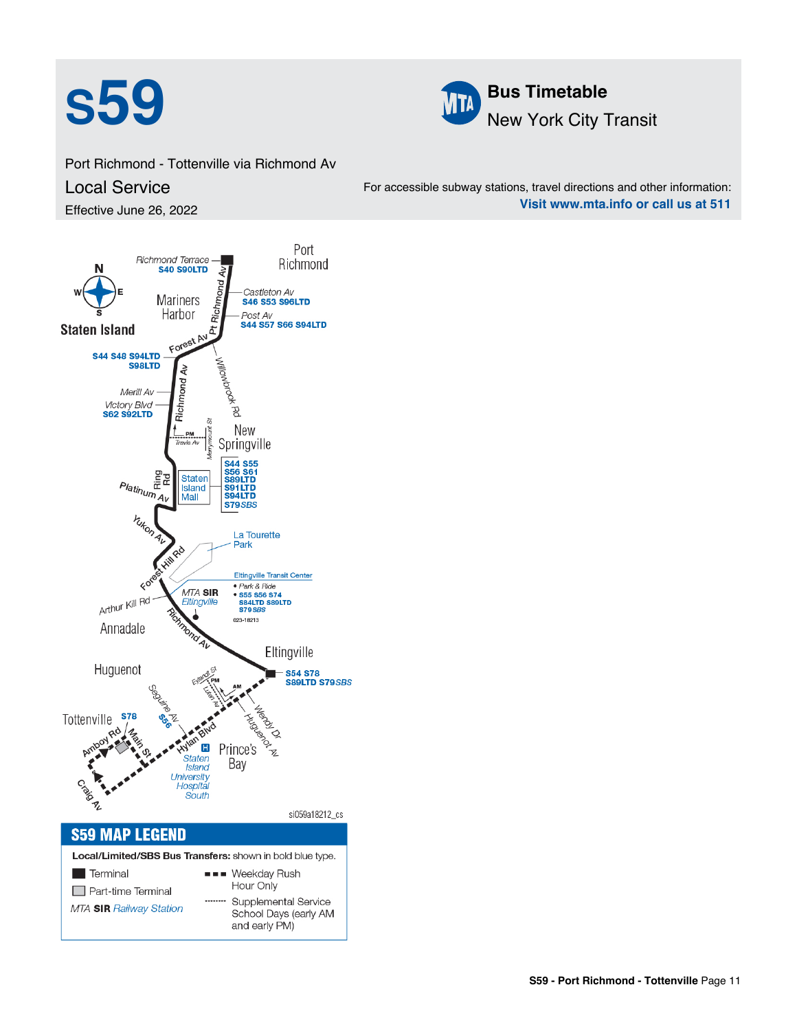



Port Richmond - Tottenville via Richmond Av Local Service Effective June 26, 2022

For accessible subway stations, travel directions and other information: **Visit www.mta.info or call us at 511**

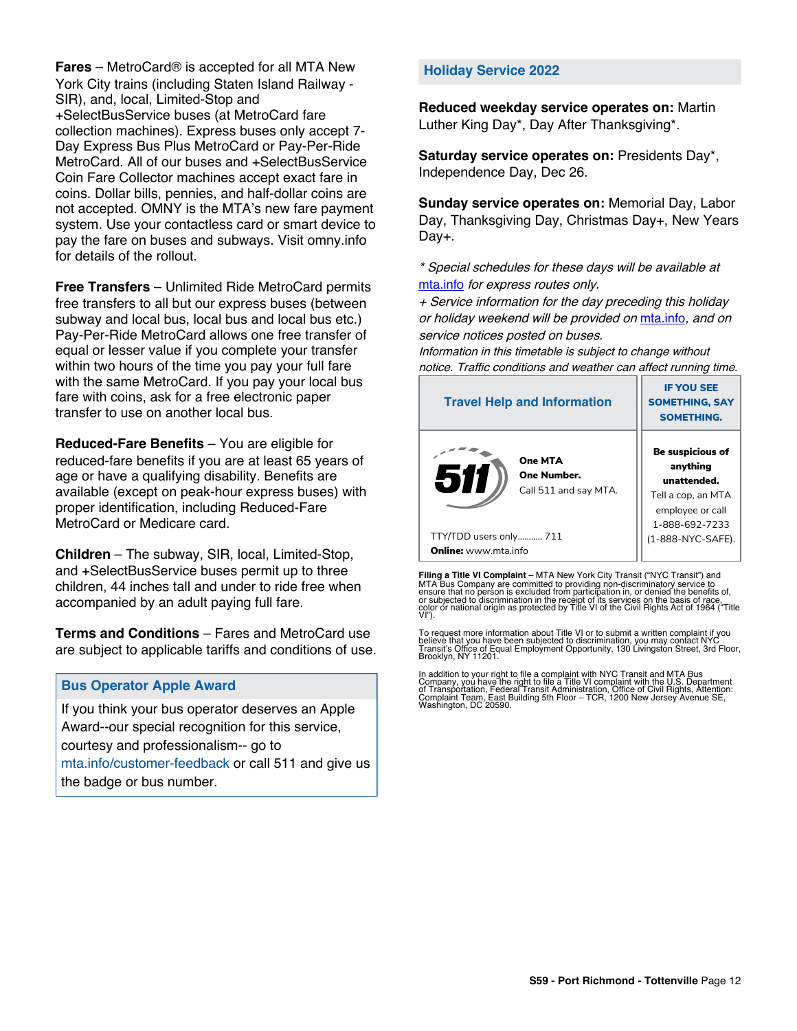**Fares** – MetroCard® is accepted for all MTA New York City trains (including Staten Island Railway - SIR), and, local, Limited-Stop and +SelectBusService buses (at MetroCard fare collection machines). Express buses only accept 7- Day Express Bus Plus MetroCard or Pay-Per-Ride MetroCard. All of our buses and +SelectBusService Coin Fare Collector machines accept exact fare in coins. Dollar bills, pennies, and half-dollar coins are not accepted. OMNY is the MTA's new fare payment system. Use your contactless card or smart device to pay the fare on buses and subways. Visit omny.info for details of the rollout.

**Free Transfers** – Unlimited Ride MetroCard permits free transfers to all but our express buses (between subway and local bus, local bus and local bus etc.) Pay-Per-Ride MetroCard allows one free transfer of equal or lesser value if you complete your transfer within two hours of the time you pay your full fare with the same MetroCard. If you pay your local bus fare with coins, ask for a free electronic paper transfer to use on another local bus.

**Reduced-Fare Benefits** – You are eligible for reduced-fare benefits if you are at least 65 years of age or have a qualifying disability. Benefits are available (except on peak-hour express buses) with proper identification, including Reduced-Fare MetroCard or Medicare card.

**Children** – The subway, SIR, local, Limited-Stop, and +SelectBusService buses permit up to three children, 44 inches tall and under to ride free when accompanied by an adult paying full fare.

**Terms and Conditions** – Fares and MetroCard use are subject to applicable tariffs and conditions of use.

### **Bus Operator Apple Award**

If you think your bus operator deserves an Apple Award--our special recognition for this service, courtesy and professionalism-- go to mta.info/customer-feedback or call 511 and give us the badge or bus number.

#### **Holiday Service 2022**

**Reduced weekday service operates on:** Martin Luther King Day\*, Day After Thanksgiving\*.

**Saturday service operates on:** Presidents Day\*, Independence Day, Dec 26.

**Sunday service operates on:** Memorial Day, Labor Day, Thanksgiving Day, Christmas Day+, New Years Day+.

\* Special schedules for these days will be available at [mta.info](https://new.mta.info/) for express routes only.

+ Service information for the day preceding this holiday or holiday weekend will be provided on [mta.info](https://new.mta.info/), and on service notices posted on buses.

Information in this timetable is subject to change without notice. Traffic conditions and weather can affect running time.

| <b>Travel Help and Information</b>                     | <b>IF YOU SEE</b><br><b>SOMETHING, SAY</b><br><b>SOMETHING.</b>                                         |
|--------------------------------------------------------|---------------------------------------------------------------------------------------------------------|
| One MTA<br>511<br>One Number.<br>Call 511 and say MTA. | Be suspicious of<br>anything<br>unattended.<br>Tell a cop, an MTA<br>employee or call<br>1-888-692-7233 |
| TTY/TDD users only 711                                 | (1-888-NYC-SAFE).                                                                                       |
| <b>Online:</b> www.mta.info                            |                                                                                                         |

**Filing a Title VI Complaint** – MTA New York City Transit ("NYC Transit") and<br>MTA Bus Company are committed to providing non-discriminatory service to<br>ensure that no person is excluded from participation in, or denied the

To request more information about Title VI or to submit a written complaint if you believe that you have been subjected to discrimination, you may contact NYC<br>Transit's Office of Equal Employment Opportunity, 130 Livingston Street, 3rd Floor,<br>Brooklyn, NY 11201.

In addition to your right to file a complaint with NYC Transit and MTA Bus<br>Company, you have the right to file a Title VI complaint with the U.S. Department<br>of Transportation, Federal Transit Administration, Office of Civi